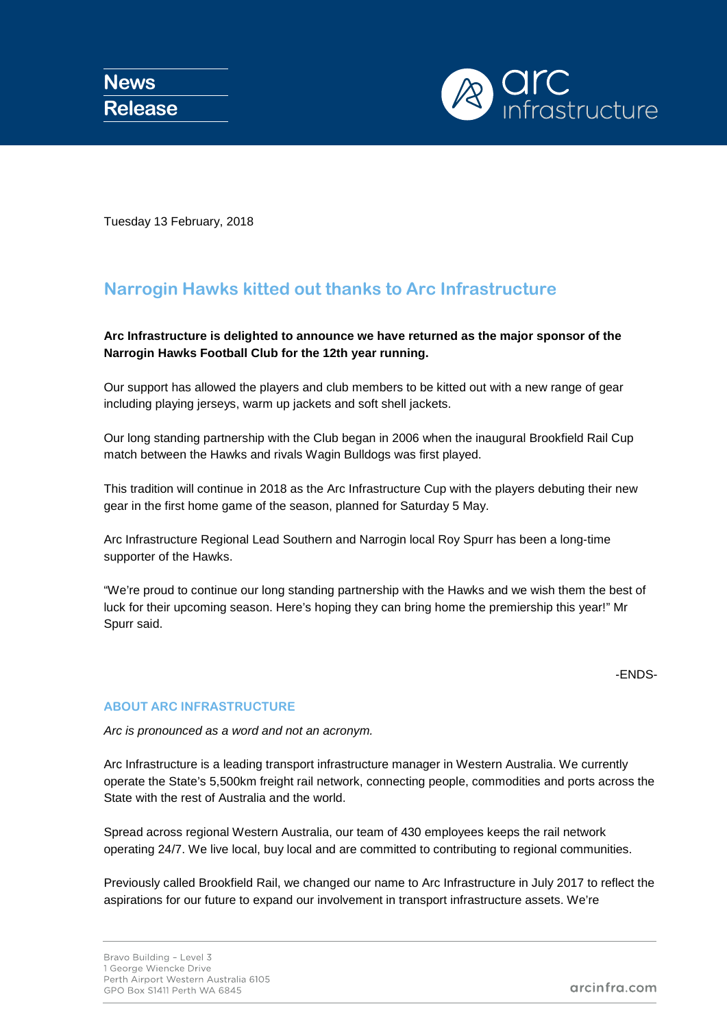

Tuesday 13 February, 2018

## **Narrogin Hawks kitted out thanks to Arc Infrastructure**

**Arc Infrastructure is delighted to announce we have returned as the major sponsor of the Narrogin Hawks Football Club for the 12th year running.** 

Our support has allowed the players and club members to be kitted out with a new range of gear including playing jerseys, warm up jackets and soft shell jackets.

Our long standing partnership with the Club began in 2006 when the inaugural Brookfield Rail Cup match between the Hawks and rivals Wagin Bulldogs was first played.

This tradition will continue in 2018 as the Arc Infrastructure Cup with the players debuting their new gear in the first home game of the season, planned for Saturday 5 May.

Arc Infrastructure Regional Lead Southern and Narrogin local Roy Spurr has been a long-time supporter of the Hawks.

"We're proud to continue our long standing partnership with the Hawks and we wish them the best of luck for their upcoming season. Here's hoping they can bring home the premiership this year!" Mr Spurr said.

## -ENDS-

## **ABOUT ARC INFRASTRUCTURE**

*Arc is pronounced as a word and not an acronym.*

Arc Infrastructure is a leading transport infrastructure manager in Western Australia. We currently operate the State's 5,500km freight rail network, connecting people, commodities and ports across the State with the rest of Australia and the world.

Spread across regional Western Australia, our team of 430 employees keeps the rail network operating 24/7. We live local, buy local and are committed to contributing to regional communities.

Previously called Brookfield Rail, we changed our name to Arc Infrastructure in July 2017 to reflect the aspirations for our future to expand our involvement in transport infrastructure assets. We're